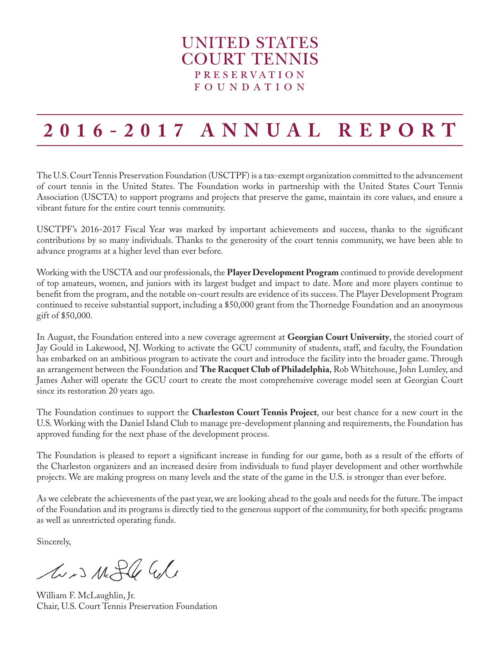### **UNITED STATES COURT TENNIS PRESERVATION FOUNDATION**

# **2016-2017 ANNUAL REPORT**

The U.S. Court Tennis Preservation Foundation (USCTPF) is a tax-exempt organization committed to the advancement of court tennis in the United States. The Foundation works in partnership with the United States Court Tennis Association (USCTA) to support programs and projects that preserve the game, maintain its core values, and ensure a vibrant future for the entire court tennis community.

USCTPF's 2016-2017 Fiscal Year was marked by important achievements and success, thanks to the significant contributions by so many individuals. Thanks to the generosity of the court tennis community, we have been able to advance programs at a higher level than ever before.

Working with the USCTA and our professionals, the **Player Development Program** continued to provide development of top amateurs, women, and juniors with its largest budget and impact to date. More and more players continue to benefit from the program, and the notable on-court results are evidence of its success. The Player Development Program continued to receive substantial support, including a \$50,000 grant from the Thornedge Foundation and an anonymous gift of \$50,000.

In August, the Foundation entered into a new coverage agreement at **Georgian Court University**, the storied court of Jay Gould in Lakewood, NJ. Working to activate the GCU community of students, staff, and faculty, the Foundation has embarked on an ambitious program to activate the court and introduce the facility into the broader game. Through an arrangement between the Foundation and **The Racquet Club of Philadelphia**, Rob Whitehouse, John Lumley, and James Asher will operate the GCU court to create the most comprehensive coverage model seen at Georgian Court since its restoration 20 years ago.

The Foundation continues to support the **Charleston Court Tennis Project**, our best chance for a new court in the U.S. Working with the Daniel Island Club to manage pre-development planning and requirements, the Foundation has approved funding for the next phase of the development process.

The Foundation is pleased to report a significant increase in funding for our game, both as a result of the efforts of the Charleston organizers and an increased desire from individuals to fund player development and other worthwhile projects. We are making progress on many levels and the state of the game in the U.S. is stronger than ever before.

As we celebrate the achievements of the past year, we are looking ahead to the goals and needs for the future. The impact of the Foundation and its programs is directly tied to the generous support of the community, for both specific programs as well as unrestricted operating funds.

Sincerely,

Avis Might Whe

William F. McLaughlin, Jr. Chair, U.S. Court Tennis Preservation Foundation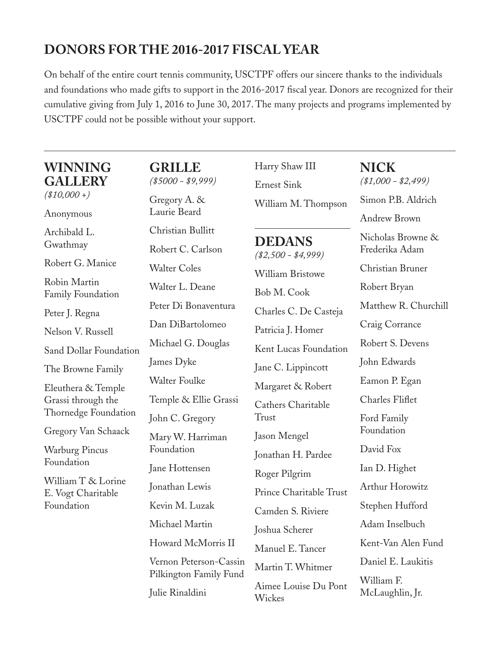## **DONORS FOR THE 2016-2017 FISCAL YEAR**

On behalf of the entire court tennis community, USCTPF offers our sincere thanks to the individuals and foundations who made gifts to support in the 2016-2017 fiscal year. Donors are recognized for their cumulative giving from July 1, 2016 to June 30, 2017. The many projects and programs implemented by USCTPF could not be possible without your support.

## **WINNING GALLERY**

*(\$10,000 +)*

Anonymous

Archibald L. Gwathmay

Robert G. Manice

Robin Martin Family Foundation

Peter J. Regna

Nelson V. Russell

Sand Dollar Foundation

The Browne Family

Eleuthera & Temple Grassi through the Thornedge Foundation

Gregory Van Schaack

Warburg Pincus Foundation

William T & Lorine E. Vogt Charitable Foundation

**GRILLE** *(\$5000 - \$9,999)*

Gregory A. & Laurie Beard Christian Bullitt Robert C. Carlson Walter Coles Walter L. Deane Peter Di Bonaventura Dan DiBartolomeo Michael G. Douglas James Dyke Walter Foulke Temple & Ellie Grassi John C. Gregory Mary W. Harriman Foundation Jane Hottensen Jonathan Lewis Kevin M. Luzak Michael Martin Howard McMorris II Vernon Peterson-Cassin Pilkington Family Fund

Julie Rinaldini

Harry Shaw III Ernest Sink William M. Thompson

## **DEDANS**

*(\$2,500 - \$4,999)* William Bristowe Bob M. Cook Charles C. De Casteja Patricia J. Homer Kent Lucas Foundation Jane C. Lippincott Margaret & Robert Cathers Charitable Trust Jason Mengel Jonathan H. Pardee Roger Pilgrim Prince Charitable Trust Camden S. Riviere Joshua Scherer Manuel E. Tancer Martin T. Whitmer

Aimee Louise Du Pont Wickes

**NICK** *(\$1,000 - \$2,499)* Simon P.B. Aldrich Andrew Brown Nicholas Browne & Frederika Adam Christian Bruner Robert Bryan Matthew R. Churchill Craig Corrance Robert S. Devens John Edwards Eamon P. Egan Charles Fliflet Ford Family Foundation David Fox Ian D. Highet Arthur Horowitz Stephen Hufford Adam Inselbuch Kent-Van Alen Fund Daniel E. Laukitis William F. McLaughlin, Jr.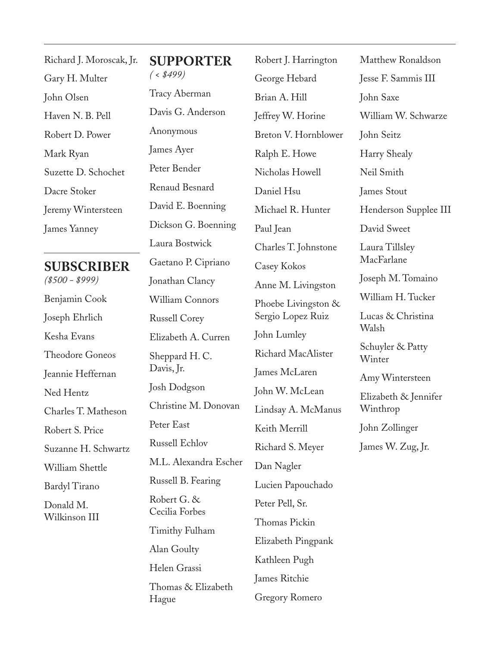| Richard J. Moroscak, Jr. |
|--------------------------|
| Gary H. Multer           |
| John Olsen               |
| Haven N. B. Pell         |
| Robert D. Power          |
| Mark Ryan                |
| Suzette D. Schochet      |
| Dacre Stoker             |
| Jeremy Wintersteen       |
| James Yanney             |
|                          |

### **SUBSCRIBER**

*(\$500 - \$999)* Benjamin Cook Joseph Ehrlich Kesha Evans Theodore Goneos Jeannie Heffernan Ned Hentz Charles T. Matheson Robert S. Price Suzanne H. Schwartz William Shettle Bardyl Tirano Donald M. Wilkinson III

**SUPPORTER** *( < \$499)* Tracy Aberman Davis G. Anderson Anonymous James Ayer Peter Bender Renaud Besnard David E. Boenning Dickson G. Boenning Laura Bostwick Gaetano P. Cipriano Jonathan Clancy William Connors Russell Corey Elizabeth A. Curren Sheppard H. C. Davis, Jr. Josh Dodgson Christine M. Donovan Peter East Russell Echlov M.L. Alexandra Escher Russell B. Fearing Robert G. & Cecilia Forbes Timithy Fulham Alan Goulty Helen Grassi Thomas & Elizabeth Hague

Robert J. Harrington George Hebard Brian A. Hill Jeffrey W. Horine Breton V. Hornblower Ralph E. Howe Nicholas Howell Daniel Hsu Michael R. Hunter Paul Jean Charles T. Johnstone Casey Kokos Anne M. Livingston Phoebe Livingston & Sergio Lopez Ruiz John Lumley Richard MacAlister James McLaren John W. McLean Lindsay A. McManus Keith Merrill Richard S. Meyer Dan Nagler Lucien Papouchado Peter Pell, Sr. Thomas Pickin Elizabeth Pingpank Kathleen Pugh James Ritchie Gregory Romero Matthew Ronaldson Jesse F. Sammis III John Saxe William W. Schwarze John Seitz Harry Shealy Neil Smith James Stout Henderson Supplee III David Sweet Laura Tillsley MacFarlane Joseph M. Tomaino William H. Tucker Lucas & Christina Walsh Schuyler & Patty Winter Amy Wintersteen Elizabeth & Jennifer Winthrop John Zollinger James W. Zug, Jr.